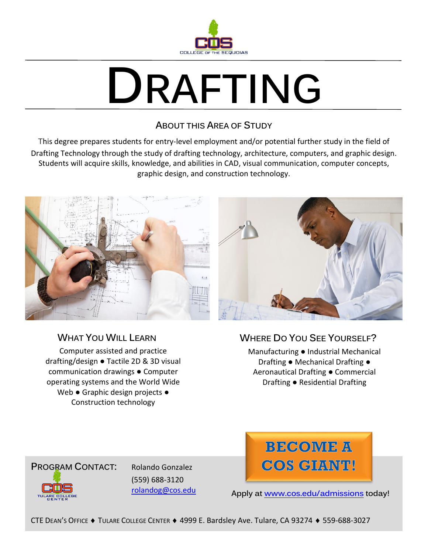

# **DRAFTING**

### **ABOUT THIS AREA OF STUDY**

This degree prepares students for entry-level employment and/or potential further study in the field of Drafting Technology through the study of drafting technology, architecture, computers, and graphic design. Students will acquire skills, knowledge, and abilities in CAD, visual communication, computer concepts, graphic design, and construction technology.



## **WHAT YOU WILL LEARN**

Computer assisted and practice drafting/design ● Tactile 2D & 3D visual communication drawings ● Computer operating systems and the World Wide Web · Graphic design projects • Construction technology

# **WHERE DO YOU SEE YOURSELF?**

Manufacturing ● Industrial Mechanical Drafting ● Mechanical Drafting ● Aeronautical Drafting ● Commercial Drafting ● Residential Drafting



(559) 688-3120 [rolandog@cos.edu](mailto:rolandog@cos.edu)



**Apply at [www.cos.edu/admissions](http://www.cos.edu/admissions) today!**

CTE DEAN'S OFFICE ♦ TULARE COLLEGE CENTER ♦ 4999 E. Bardsley Ave. Tulare, CA 93274 ♦ 559-688-3027